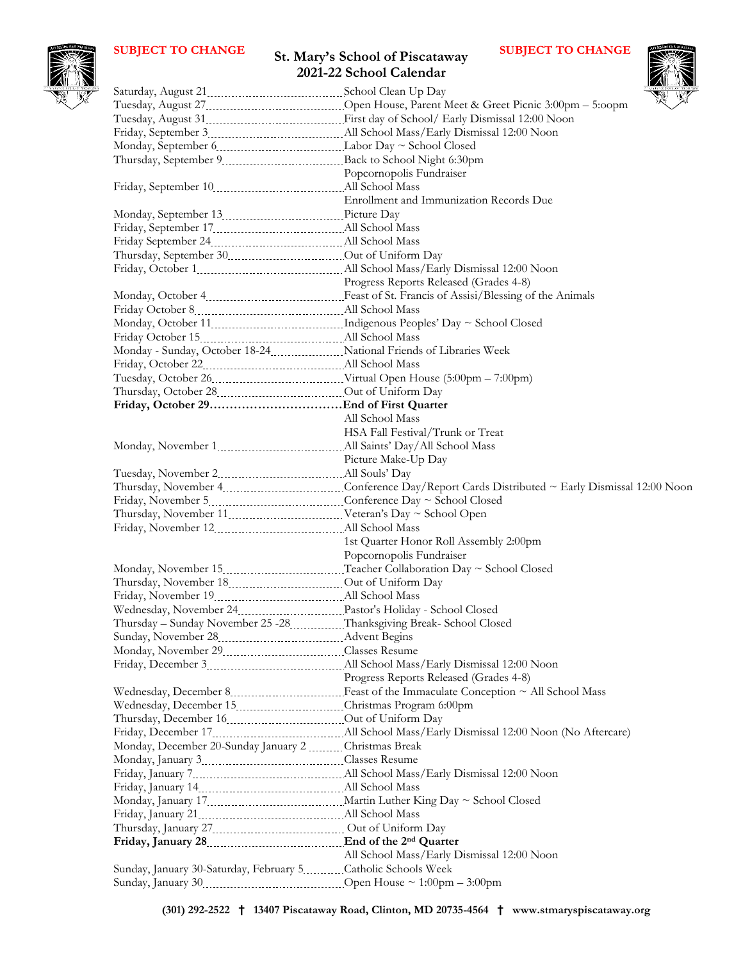## **St. Mary's School of Piscataway 2021-22 School Calendar SUBJECT TO CHANGE** St Mary's School of Piscataway SUBJECT TO CHANGE



|                                                                     | 2021-22 School Calendar                    |
|---------------------------------------------------------------------|--------------------------------------------|
|                                                                     |                                            |
|                                                                     |                                            |
|                                                                     |                                            |
|                                                                     |                                            |
|                                                                     |                                            |
| Thursday, September 9 [11] Back to School Night 6:30pm              |                                            |
|                                                                     | Popcornopolis Fundraiser                   |
| Friday, September 10 [10] [10] All School Mass                      |                                            |
|                                                                     | Enrollment and Immunization Records Due    |
|                                                                     |                                            |
|                                                                     |                                            |
|                                                                     |                                            |
|                                                                     |                                            |
|                                                                     |                                            |
|                                                                     | Progress Reports Released (Grades 4-8)     |
|                                                                     |                                            |
|                                                                     |                                            |
|                                                                     |                                            |
|                                                                     |                                            |
| Monday - Sunday, October 18-24 Mational Friends of Libraries Week   |                                            |
|                                                                     |                                            |
|                                                                     |                                            |
|                                                                     |                                            |
|                                                                     |                                            |
|                                                                     | All School Mass                            |
|                                                                     | HSA Fall Festival/Trunk or Treat           |
|                                                                     |                                            |
|                                                                     | Picture Make-Up Day                        |
|                                                                     |                                            |
|                                                                     |                                            |
|                                                                     |                                            |
| Thursday, November 11 [11] Veteran's Day ~ School Open              |                                            |
|                                                                     |                                            |
|                                                                     | 1st Quarter Honor Roll Assembly 2:00pm     |
|                                                                     | Popcornopolis Fundraiser                   |
|                                                                     |                                            |
|                                                                     |                                            |
|                                                                     |                                            |
|                                                                     |                                            |
| Thursday - Sunday November 25 -28 Thanksgiving Break- School Closed |                                            |
| Sunday, November 28 [100] Advent Begins                             |                                            |
| Monday, November 29 Classes Resume                                  |                                            |
|                                                                     |                                            |
|                                                                     | Progress Reports Released (Grades 4-8)     |
|                                                                     |                                            |
| Wednesday, December 15 [16] Christmas Program 6:00pm                |                                            |
|                                                                     |                                            |
|                                                                     |                                            |
| Monday, December 20-Sunday January 2 Christmas Break                |                                            |
|                                                                     |                                            |
|                                                                     |                                            |
|                                                                     |                                            |
|                                                                     |                                            |
|                                                                     |                                            |
|                                                                     |                                            |
|                                                                     |                                            |
|                                                                     | All School Mass/Early Dismissal 12:00 Noon |
| Sunday, January 30-Saturday, February 5 Catholic Schools Week       |                                            |
|                                                                     |                                            |